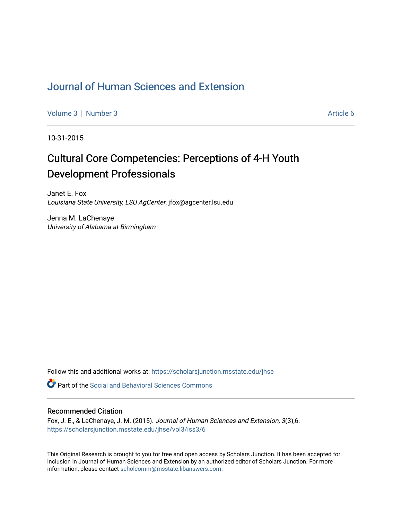# [Journal of Human Sciences and Extension](https://scholarsjunction.msstate.edu/jhse)

[Volume 3](https://scholarsjunction.msstate.edu/jhse/vol3) | [Number 3](https://scholarsjunction.msstate.edu/jhse/vol3/iss3) Article 6

10-31-2015

# Cultural Core Competencies: Perceptions of 4-H Youth Development Professionals

Janet E. Fox Louisiana State University, LSU AgCenter, jfox@agcenter.lsu.edu

Jenna M. LaChenaye University of Alabama at Birmingham

Follow this and additional works at: [https://scholarsjunction.msstate.edu/jhse](https://scholarsjunction.msstate.edu/jhse?utm_source=scholarsjunction.msstate.edu%2Fjhse%2Fvol3%2Fiss3%2F6&utm_medium=PDF&utm_campaign=PDFCoverPages)

**C** Part of the Social and Behavioral Sciences Commons

#### Recommended Citation

Fox, J. E., & LaChenaye, J. M. (2015). Journal of Human Sciences and Extension, 3(3),6. [https://scholarsjunction.msstate.edu/jhse/vol3/iss3/6](https://scholarsjunction.msstate.edu/jhse/vol3/iss3/6?utm_source=scholarsjunction.msstate.edu%2Fjhse%2Fvol3%2Fiss3%2F6&utm_medium=PDF&utm_campaign=PDFCoverPages)

This Original Research is brought to you for free and open access by Scholars Junction. It has been accepted for inclusion in Journal of Human Sciences and Extension by an authorized editor of Scholars Junction. For more information, please contact [scholcomm@msstate.libanswers.com](mailto:scholcomm@msstate.libanswers.com).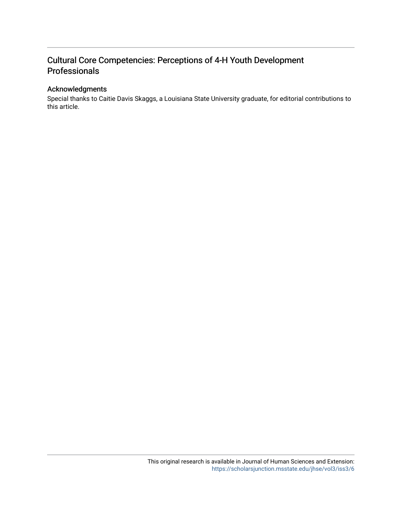# Acknowledgments

Special thanks to Caitie Davis Skaggs, a Louisiana State University graduate, for editorial contributions to this article.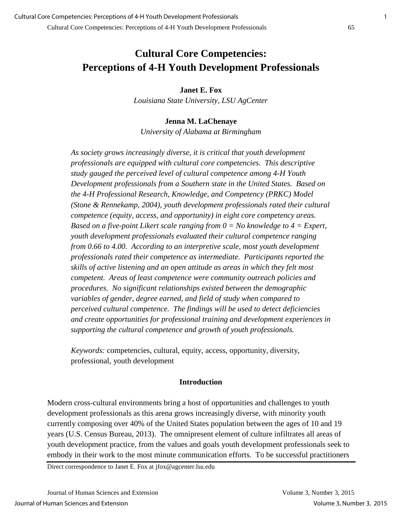**Janet E. Fox**

*Louisiana State University, LSU AgCenter* 

**Jenna M. LaChenaye**  *University of Alabama at Birmingham* 

*As society grows increasingly diverse, it is critical that youth development professionals are equipped with cultural core competencies. This descriptive study gauged the perceived level of cultural competence among 4-H Youth Development professionals from a Southern state in the United States. Based on the 4-H Professional Research, Knowledge, and Competency (PRKC) Model (Stone & Rennekamp, 2004), youth development professionals rated their cultural competence (equity, access, and opportunity) in eight core competency areas. Based on a five-point Likert scale ranging from 0 = No knowledge to 4 = Expert, youth development professionals evaluated their cultural competence ranging from 0.66 to 4.00. According to an interpretive scale, most youth development professionals rated their competence as intermediate. Participants reported the skills of active listening and an open attitude as areas in which they felt most competent. Areas of least competence were community outreach policies and procedures. No significant relationships existed between the demographic variables of gender, degree earned, and field of study when compared to perceived cultural competence. The findings will be used to detect deficiencies and create opportunities for professional training and development experiences in supporting the cultural competence and growth of youth professionals.* 

*Keywords:* competencies, cultural, equity, access, opportunity, diversity, professional, youth development

#### **Introduction**

Modern cross-cultural environments bring a host of opportunities and challenges to youth development professionals as this arena grows increasingly diverse, with minority youth currently composing over 40% of the United States population between the ages of 10 and 19 years (U.S. Census Bureau, 2013). The omnipresent element of culture infiltrates all areas of youth development practice, from the values and goals youth development professionals seek to embody in their work to the most minute communication efforts. To be successful practitioners

Direct correspondence to Janet E. Fox at jfox@agcenter.lsu.edu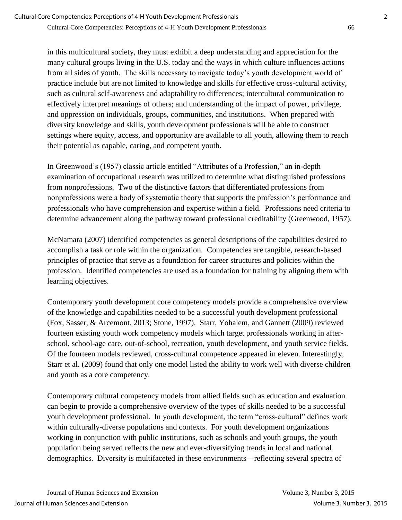in this multicultural society, they must exhibit a deep understanding and appreciation for the many cultural groups living in the U.S. today and the ways in which culture influences actions from all sides of youth. The skills necessary to navigate today's youth development world of practice include but are not limited to knowledge and skills for effective cross-cultural activity, such as cultural self-awareness and adaptability to differences; intercultural communication to effectively interpret meanings of others; and understanding of the impact of power, privilege, and oppression on individuals, groups, communities, and institutions. When prepared with diversity knowledge and skills, youth development professionals will be able to construct settings where equity, access, and opportunity are available to all youth, allowing them to reach their potential as capable, caring, and competent youth.

In Greenwood's (1957) classic article entitled "Attributes of a Profession," an in-depth examination of occupational research was utilized to determine what distinguished professions from nonprofessions. Two of the distinctive factors that differentiated professions from nonprofessions were a body of systematic theory that supports the profession's performance and professionals who have comprehension and expertise within a field. Professions need criteria to determine advancement along the pathway toward professional creditability (Greenwood, 1957).

McNamara (2007) identified competencies as general descriptions of the capabilities desired to accomplish a task or role within the organization. Competencies are tangible, research-based principles of practice that serve as a foundation for career structures and policies within the profession. Identified competencies are used as a foundation for training by aligning them with learning objectives.

Contemporary youth development core competency models provide a comprehensive overview of the knowledge and capabilities needed to be a successful youth development professional (Fox, Sasser, & Arcemont, 2013; Stone, 1997). Starr, Yohalem, and Gannett (2009) reviewed fourteen existing youth work competency models which target professionals working in afterschool, school-age care, out-of-school, recreation, youth development, and youth service fields. Of the fourteen models reviewed, cross-cultural competence appeared in eleven. Interestingly, Starr et al. (2009) found that only one model listed the ability to work well with diverse children and youth as a core competency.

Contemporary cultural competency models from allied fields such as education and evaluation can begin to provide a comprehensive overview of the types of skills needed to be a successful youth development professional. In youth development, the term "cross-cultural" defines work within culturally-diverse populations and contexts. For youth development organizations working in conjunction with public institutions, such as schools and youth groups, the youth population being served reflects the new and ever-diversifying trends in local and national demographics. Diversity is multifaceted in these environments—reflecting several spectra of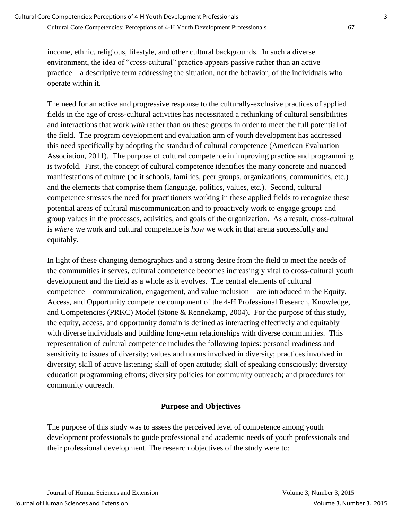income, ethnic, religious, lifestyle, and other cultural backgrounds. In such a diverse environment, the idea of "cross-cultural" practice appears passive rather than an active practice—a descriptive term addressing the situation, not the behavior, of the individuals who operate within it.

The need for an active and progressive response to the culturally-exclusive practices of applied fields in the age of cross-cultural activities has necessitated a rethinking of cultural sensibilities and interactions that work *with* rather than *on* these groups in order to meet the full potential of the field. The program development and evaluation arm of youth development has addressed this need specifically by adopting the standard of cultural competence (American Evaluation Association, 2011). The purpose of cultural competence in improving practice and programming is twofold. First, the concept of cultural competence identifies the many concrete and nuanced manifestations of culture (be it schools, families, peer groups, organizations, communities, etc.) and the elements that comprise them (language, politics, values, etc.). Second, cultural competence stresses the need for practitioners working in these applied fields to recognize these potential areas of cultural miscommunication and to proactively work to engage groups and group values in the processes, activities, and goals of the organization. As a result, cross-cultural is *where* we work and cultural competence is *how* we work in that arena successfully and equitably.

In light of these changing demographics and a strong desire from the field to meet the needs of the communities it serves, cultural competence becomes increasingly vital to cross-cultural youth development and the field as a whole as it evolves. The central elements of cultural competence—communication, engagement, and value inclusion—are introduced in the Equity, Access, and Opportunity competence component of the 4-H Professional Research, Knowledge, and Competencies (PRKC) Model (Stone & Rennekamp, 2004). For the purpose of this study, the equity, access, and opportunity domain is defined as interacting effectively and equitably with diverse individuals and building long-term relationships with diverse communities. This representation of cultural competence includes the following topics: personal readiness and sensitivity to issues of diversity; values and norms involved in diversity; practices involved in diversity; skill of active listening; skill of open attitude; skill of speaking consciously; diversity education programming efforts; diversity policies for community outreach; and procedures for community outreach.

# **Purpose and Objectives**

The purpose of this study was to assess the perceived level of competence among youth development professionals to guide professional and academic needs of youth professionals and their professional development. The research objectives of the study were to: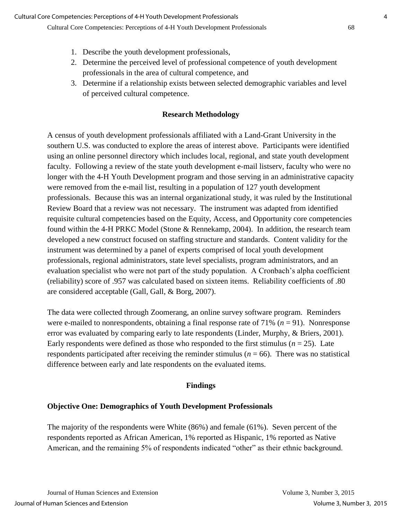- 1. Describe the youth development professionals,
- 2. Determine the perceived level of professional competence of youth development professionals in the area of cultural competence, and
- 3. Determine if a relationship exists between selected demographic variables and level of perceived cultural competence.

## **Research Methodology**

A census of youth development professionals affiliated with a Land-Grant University in the southern U.S. was conducted to explore the areas of interest above. Participants were identified using an online personnel directory which includes local, regional, and state youth development faculty. Following a review of the state youth development e-mail listserv, faculty who were no longer with the 4-H Youth Development program and those serving in an administrative capacity were removed from the e-mail list, resulting in a population of 127 youth development professionals. Because this was an internal organizational study, it was ruled by the Institutional Review Board that a review was not necessary. The instrument was adapted from identified requisite cultural competencies based on the Equity, Access, and Opportunity core competencies found within the 4-H PRKC Model (Stone & Rennekamp, 2004). In addition, the research team developed a new construct focused on staffing structure and standards. Content validity for the instrument was determined by a panel of experts comprised of local youth development professionals, regional administrators, state level specialists, program administrators, and an evaluation specialist who were not part of the study population. A Cronbach's alpha coefficient (reliability) score of .957 was calculated based on sixteen items. Reliability coefficients of .80 are considered acceptable (Gall, Gall, & Borg, 2007).

The data were collected through Zoomerang, an online survey software program. Reminders were e-mailed to nonrespondents, obtaining a final response rate of  $71\%$  ( $n = 91$ ). Nonresponse error was evaluated by comparing early to late respondents (Linder, Murphy, & Briers, 2001). Early respondents were defined as those who responded to the first stimulus  $(n = 25)$ . Late respondents participated after receiving the reminder stimulus ( $n = 66$ ). There was no statistical difference between early and late respondents on the evaluated items.

### **Findings**

### **Objective One: Demographics of Youth Development Professionals**

The majority of the respondents were White (86%) and female (61%). Seven percent of the respondents reported as African American, 1% reported as Hispanic, 1% reported as Native American, and the remaining 5% of respondents indicated "other" as their ethnic background.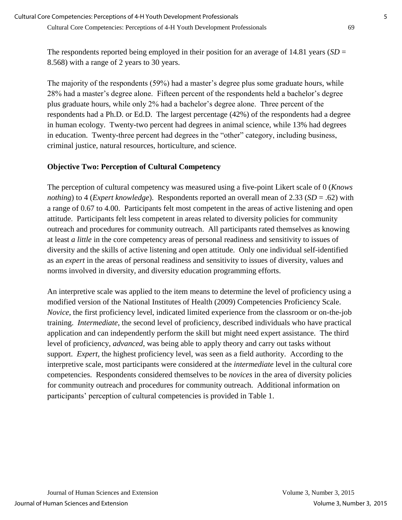The respondents reported being employed in their position for an average of 14.81 years (*SD* = 8.568) with a range of 2 years to 30 years.

The majority of the respondents (59%) had a master's degree plus some graduate hours, while 28% had a master's degree alone. Fifteen percent of the respondents held a bachelor's degree plus graduate hours, while only 2% had a bachelor's degree alone. Three percent of the respondents had a Ph.D. or Ed.D. The largest percentage (42%) of the respondents had a degree in human ecology. Twenty-two percent had degrees in animal science, while 13% had degrees in education. Twenty-three percent had degrees in the "other" category, including business, criminal justice, natural resources, horticulture, and science.

# **Objective Two: Perception of Cultural Competency**

The perception of cultural competency was measured using a five-point Likert scale of 0 (*Knows nothing*) to 4 (*Expert knowledge*). Respondents reported an overall mean of 2.33 (*SD* = .62) with a range of 0.67 to 4.00. Participants felt most competent in the areas of active listening and open attitude. Participants felt less competent in areas related to diversity policies for community outreach and procedures for community outreach. All participants rated themselves as knowing at least *a little* in the core competency areas of personal readiness and sensitivity to issues of diversity and the skills of active listening and open attitude. Only one individual self-identified as an *expert* in the areas of personal readiness and sensitivity to issues of diversity, values and norms involved in diversity, and diversity education programming efforts.

An interpretive scale was applied to the item means to determine the level of proficiency using a modified version of the National Institutes of Health (2009) Competencies Proficiency Scale. *Novice*, the first proficiency level, indicated limited experience from the classroom or on-the-job training. *Intermediate*, the second level of proficiency, described individuals who have practical application and can independently perform the skill but might need expert assistance. The third level of proficiency, *advanced*, was being able to apply theory and carry out tasks without support. *Expert*, the highest proficiency level, was seen as a field authority. According to the interpretive scale, most participants were considered at the *intermediate* level in the cultural core competencies. Respondents considered themselves to be *novices* in the area of diversity policies for community outreach and procedures for community outreach. Additional information on participants' perception of cultural competencies is provided in Table 1.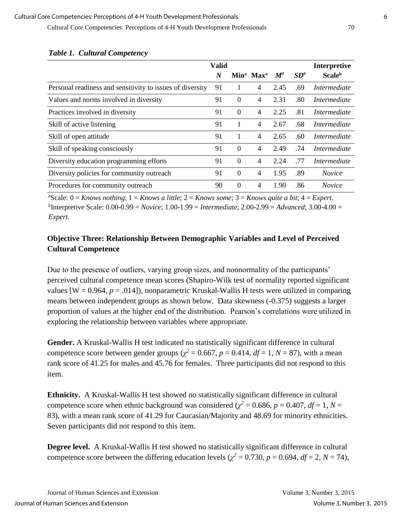|                                                           | <b>Valid</b> |          |                                   |                    |                 | Interpretive              |
|-----------------------------------------------------------|--------------|----------|-----------------------------------|--------------------|-----------------|---------------------------|
|                                                           | N            |          | Min <sup>a</sup> Max <sup>a</sup> | $\boldsymbol{M}^a$ | SD <sup>a</sup> | <b>Scale</b> <sup>b</sup> |
| Personal readiness and sensitivity to issues of diversity | 91           |          | 4                                 | 2.45               | .69             | Intermediate              |
| Values and norms involved in diversity                    | 91           | $\Omega$ | 4                                 | 2.31               | .80             | <i>Intermediate</i>       |
| Practices involved in diversity                           | 91           | $\Omega$ | $\overline{4}$                    | 2.25               | .81             | Intermediate              |
| Skill of active listening                                 | 91           |          | 4                                 | 2.67               | .68             | <i>Intermediate</i>       |
| Skill of open attitude                                    | 91           |          | 4                                 | 2.65               | .60             | Intermediate              |
| Skill of speaking consciously                             | 91           | $\Omega$ | 4                                 | 2.49               | .74             | <i>Intermediate</i>       |
| Diversity education programming efforts                   | 91           | $\theta$ | 4                                 | 2.24               | .77             | <i>Intermediate</i>       |
| Diversity policies for community outreach                 | 91           | $\Omega$ | 4                                 | 1.95               | .89             | <i>Novice</i>             |
| Procedures for community outreach                         | 90           | $\Omega$ | 4                                 | 1.90               | .86             | <i>Novice</i>             |

## *Table 1. Cultural Competency*

<sup>a</sup>Scale:  $0 =$  *Knows nothing*;  $1 =$  *Knows a little*;  $2 =$  *Knows some*;  $3 =$  *Knows quite a bit*;  $4 =$  *Expert.* b Interpretive Scale: 0.00-0.99 = *Novice*; 1.00-1.99 = *Intermediate*; 2.00-2.99 = *Advanced*; 3.00-4.00 = *Expert.*

# **Objective Three: Relationship Between Demographic Variables and Level of Perceived Cultural Competence**

Due to the presence of outliers, varying group sizes, and nonnormality of the participants' perceived cultural competence mean scores (Shapiro-Wilk test of normality reported significant values  $[W = 0.964, p = .014]$ ), nonparametric Kruskal-Wallis H tests were utilized in comparing means between independent groups as shown below. Data skewness (-0.375) suggests a larger proportion of values at the higher end of the distribution. Pearson's correlations were utilized in exploring the relationship between variables where appropriate.

**Gender.** A Kruskal-Wallis H test indicated no statistically significant difference in cultural competence score between gender groups ( $\chi^2$  = 0.667, *p* = 0.414, *df* = 1, *N* = 87), with a mean rank score of 41.25 for males and 45.76 for females. Three participants did not respond to this item.

**Ethnicity.** A Kruskal-Wallis H test showed no statistically significant difference in cultural competence score when ethnic background was considered ( $\chi^2 = 0.686$ ,  $p = 0.407$ ,  $df = 1$ ,  $N =$ 83), with a mean rank score of 41.29 for Caucasian/Majority and 48.69 for minority ethnicities. Seven participants did not respond to this item.

**Degree level.** A Kruskal-Wallis H test showed no statistically significant difference in cultural competence score between the differing education levels ( $\chi^2 = 0.730$ ,  $p = 0.694$ ,  $df = 2$ ,  $N = 74$ ),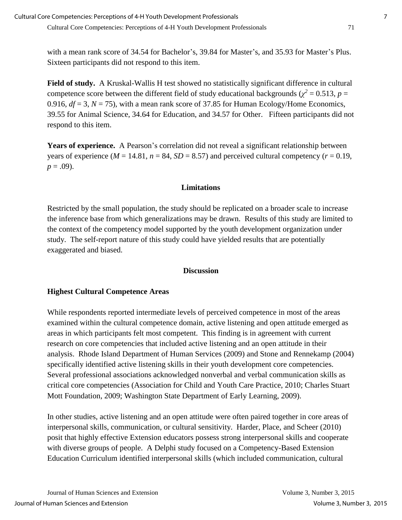with a mean rank score of 34.54 for Bachelor's, 39.84 for Master's, and 35.93 for Master's Plus. Sixteen participants did not respond to this item.

**Field of study.** A Kruskal-Wallis H test showed no statistically significant difference in cultural competence score between the different field of study educational backgrounds ( $\chi^2 = 0.513$ ,  $p =$ 0.916,  $df = 3$ ,  $N = 75$ ), with a mean rank score of 37.85 for Human Ecology/Home Economics, 39.55 for Animal Science, 34.64 for Education, and 34.57 for Other. Fifteen participants did not respond to this item.

**Years of experience.** A Pearson's correlation did not reveal a significant relationship between years of experience ( $M = 14.81$ ,  $n = 84$ ,  $SD = 8.57$ ) and perceived cultural competency ( $r = 0.19$ ,  $p = .09$ ).

# **Limitations**

Restricted by the small population, the study should be replicated on a broader scale to increase the inference base from which generalizations may be drawn. Results of this study are limited to the context of the competency model supported by the youth development organization under study. The self-report nature of this study could have yielded results that are potentially exaggerated and biased.

### **Discussion**

# **Highest Cultural Competence Areas**

While respondents reported intermediate levels of perceived competence in most of the areas examined within the cultural competence domain, active listening and open attitude emerged as areas in which participants felt most competent. This finding is in agreement with current research on core competencies that included active listening and an open attitude in their analysis. Rhode Island Department of Human Services (2009) and Stone and Rennekamp (2004) specifically identified active listening skills in their youth development core competencies. Several professional associations acknowledged nonverbal and verbal communication skills as critical core competencies (Association for Child and Youth Care Practice, 2010; Charles Stuart Mott Foundation, 2009; Washington State Department of Early Learning, 2009).

In other studies, active listening and an open attitude were often paired together in core areas of interpersonal skills, communication, or cultural sensitivity. Harder, Place, and Scheer (2010) posit that highly effective Extension educators possess strong interpersonal skills and cooperate with diverse groups of people. A Delphi study focused on a Competency-Based Extension Education Curriculum identified interpersonal skills (which included communication, cultural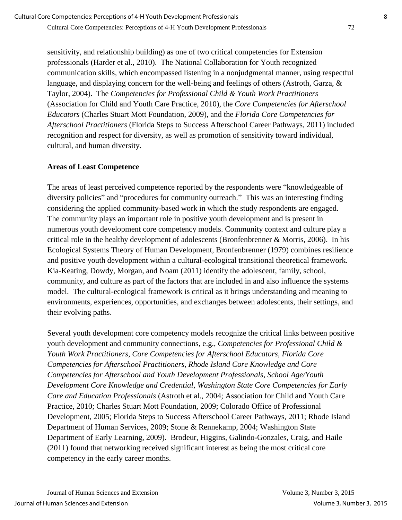sensitivity, and relationship building) as one of two critical competencies for Extension professionals (Harder et al., 2010). The National Collaboration for Youth recognized communication skills, which encompassed listening in a nonjudgmental manner, using respectful language, and displaying concern for the well-being and feelings of others (Astroth, Garza, & Taylor, 2004). The *Competencies for Professional Child & Youth Work Practitioners* (Association for Child and Youth Care Practice, 2010), the *Core Competencies for Afterschool Educators* (Charles Stuart Mott Foundation, 2009), and the *Florida Core Competencies for Afterschool Practitioners* (Florida Steps to Success Afterschool Career Pathways, 2011) included recognition and respect for diversity, as well as promotion of sensitivity toward individual, cultural, and human diversity.

# **Areas of Least Competence**

The areas of least perceived competence reported by the respondents were "knowledgeable of diversity policies" and "procedures for community outreach." This was an interesting finding considering the applied community-based work in which the study respondents are engaged. The community plays an important role in positive youth development and is present in numerous youth development core competency models. Community context and culture play a critical role in the healthy development of adolescents (Bronfenbrenner & Morris, 2006). In his Ecological Systems Theory of Human Development, Bronfenbrenner (1979) combines resilience and positive youth development within a cultural-ecological transitional theoretical framework. Kia-Keating, Dowdy, Morgan, and Noam (2011) identify the adolescent, family, school, community, and culture as part of the factors that are included in and also influence the systems model. The cultural-ecological framework is critical as it brings understanding and meaning to environments, experiences, opportunities, and exchanges between adolescents, their settings, and their evolving paths.

Several youth development core competency models recognize the critical links between positive youth development and community connections, e.g., *Competencies for Professional Child & Youth Work Practitioners*, *Core Competencies for Afterschool Educators*, *Florida Core Competencies for Afterschool Practitioners*, *Rhode Island Core Knowledge and Core Competencies for Afterschool and Youth Development Professionals*, *School Age/Youth Development Core Knowledge and Credential*, *Washington State Core Competencies for Early Care and Education Professionals* (Astroth et al., 2004; Association for Child and Youth Care Practice, 2010; Charles Stuart Mott Foundation, 2009; Colorado Office of Professional Development, 2005; Florida Steps to Success Afterschool Career Pathways, 2011; Rhode Island Department of Human Services, 2009; Stone & Rennekamp, 2004; Washington State Department of Early Learning, 2009). Brodeur, Higgins, Galindo-Gonzales, Craig, and Haile (2011) found that networking received significant interest as being the most critical core competency in the early career months.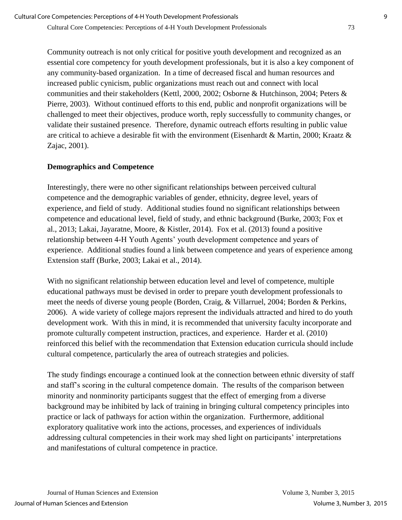Community outreach is not only critical for positive youth development and recognized as an essential core competency for youth development professionals, but it is also a key component of any community-based organization. In a time of decreased fiscal and human resources and increased public cynicism, public organizations must reach out and connect with local communities and their stakeholders (Kettl, 2000, 2002; Osborne & Hutchinson, 2004; Peters & Pierre, 2003). Without continued efforts to this end, public and nonprofit organizations will be challenged to meet their objectives, produce worth, reply successfully to community changes, or validate their sustained presence. Therefore, dynamic outreach efforts resulting in public value are critical to achieve a desirable fit with the environment (Eisenhardt & Martin, 2000; Kraatz & Zajac, 2001).

# **Demographics and Competence**

Interestingly, there were no other significant relationships between perceived cultural competence and the demographic variables of gender, ethnicity, degree level, years of experience, and field of study. Additional studies found no significant relationships between competence and educational level, field of study, and ethnic background (Burke, 2003; Fox et al., 2013; Lakai, Jayaratne, Moore, & Kistler, 2014). Fox et al. (2013) found a positive relationship between 4-H Youth Agents' youth development competence and years of experience. Additional studies found a link between competence and years of experience among Extension staff (Burke, 2003; Lakai et al., 2014).

With no significant relationship between education level and level of competence, multiple educational pathways must be devised in order to prepare youth development professionals to meet the needs of diverse young people (Borden, Craig, & Villarruel, 2004; Borden & Perkins, 2006). A wide variety of college majors represent the individuals attracted and hired to do youth development work. With this in mind, it is recommended that university faculty incorporate and promote culturally competent instruction, practices, and experience. Harder et al. (2010) reinforced this belief with the recommendation that Extension education curricula should include cultural competence, particularly the area of outreach strategies and policies.

The study findings encourage a continued look at the connection between ethnic diversity of staff and staff's scoring in the cultural competence domain. The results of the comparison between minority and nonminority participants suggest that the effect of emerging from a diverse background may be inhibited by lack of training in bringing cultural competency principles into practice or lack of pathways for action within the organization. Furthermore, additional exploratory qualitative work into the actions, processes, and experiences of individuals addressing cultural competencies in their work may shed light on participants' interpretations and manifestations of cultural competence in practice.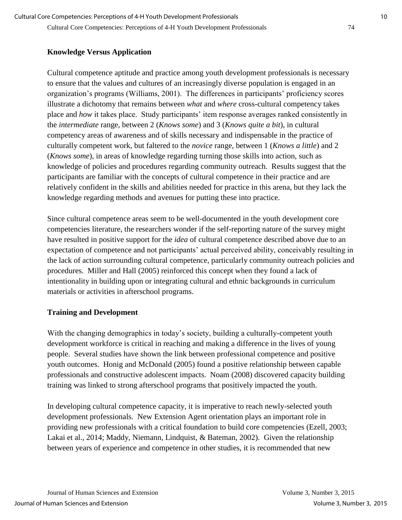# **Knowledge Versus Application**

Cultural competence aptitude and practice among youth development professionals is necessary to ensure that the values and cultures of an increasingly diverse population is engaged in an organization's programs (Williams, 2001). The differences in participants' proficiency scores illustrate a dichotomy that remains between *what* and *where* cross-cultural competency takes place and *how* it takes place. Study participants' item response averages ranked consistently in the *intermediate* range, between 2 (*Knows some*) and 3 (*Knows quite a bit*), in cultural competency areas of awareness and of skills necessary and indispensable in the practice of culturally competent work, but faltered to the *novice* range, between 1 (*Knows a little*) and 2 (*Knows some*), in areas of knowledge regarding turning those skills into action, such as knowledge of policies and procedures regarding community outreach. Results suggest that the participants are familiar with the concepts of cultural competence in their practice and are relatively confident in the skills and abilities needed for practice in this arena, but they lack the knowledge regarding methods and avenues for putting these into practice.

Since cultural competence areas seem to be well-documented in the youth development core competencies literature, the researchers wonder if the self-reporting nature of the survey might have resulted in positive support for the *idea* of cultural competence described above due to an expectation of competence and not participants' actual perceived ability, conceivably resulting in the lack of action surrounding cultural competence, particularly community outreach policies and procedures. Miller and Hall (2005) reinforced this concept when they found a lack of intentionality in building upon or integrating cultural and ethnic backgrounds in curriculum materials or activities in afterschool programs.

# **Training and Development**

With the changing demographics in today's society, building a culturally-competent youth development workforce is critical in reaching and making a difference in the lives of young people. Several studies have shown the link between professional competence and positive youth outcomes. Honig and McDonald (2005) found a positive relationship between capable professionals and constructive adolescent impacts. Noam (2008) discovered capacity building training was linked to strong afterschool programs that positively impacted the youth.

In developing cultural competence capacity, it is imperative to reach newly-selected youth development professionals. New Extension Agent orientation plays an important role in providing new professionals with a critical foundation to build core competencies (Ezell, 2003; Lakai et al., 2014; Maddy, Niemann, Lindquist, & Bateman, 2002). Given the relationship between years of experience and competence in other studies, it is recommended that new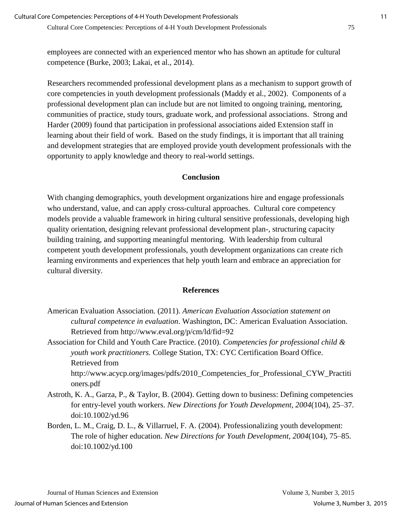employees are connected with an experienced mentor who has shown an aptitude for cultural competence (Burke, 2003; Lakai, et al., 2014).

Researchers recommended professional development plans as a mechanism to support growth of core competencies in youth development professionals (Maddy et al., 2002). Components of a professional development plan can include but are not limited to ongoing training, mentoring, communities of practice, study tours, graduate work, and professional associations. Strong and Harder (2009) found that participation in professional associations aided Extension staff in learning about their field of work. Based on the study findings, it is important that all training and development strategies that are employed provide youth development professionals with the opportunity to apply knowledge and theory to real-world settings.

# **Conclusion**

With changing demographics, youth development organizations hire and engage professionals who understand, value, and can apply cross-cultural approaches. Cultural core competency models provide a valuable framework in hiring cultural sensitive professionals, developing high quality orientation, designing relevant professional development plan-, structuring capacity building training, and supporting meaningful mentoring. With leadership from cultural competent youth development professionals, youth development organizations can create rich learning environments and experiences that help youth learn and embrace an appreciation for cultural diversity.

# **References**

American Evaluation Association. (2011). *American Evaluation Association statement on cultural competence in evaluation*. Washington, DC: American Evaluation Association. Retrieved from http://www.eval.org/p/cm/ld/fid=92

Association for Child and Youth Care Practice. (2010). *Competencies for professional child & youth work practitioners.* College Station, TX: CYC Certification Board Office. Retrieved from

http://www.acycp.org/images/pdfs/2010\_Competencies\_for\_Professional\_CYW\_Practiti oners.pdf

- Astroth, K. A., Garza, P., & Taylor, B. (2004). Getting down to business: Defining competencies for entry-level youth workers. *New Directions for Youth Development, 2004*(104), 25–37. doi:10.1002/yd.96
- Borden, L. M., Craig, D. L., & Villarruel, F. A. (2004). Professionalizing youth development: The role of higher education. *New Directions for Youth Development, 2004*(104), 75–85. doi:10.1002/yd.100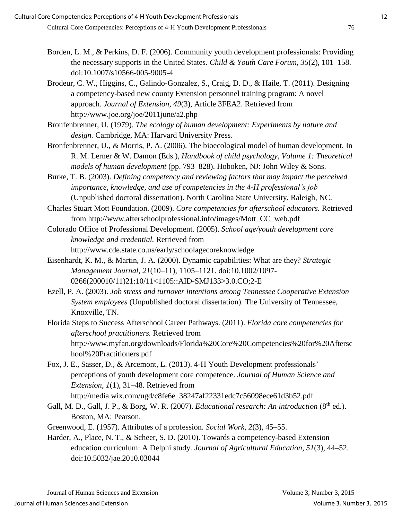- Borden, L. M., & Perkins, D. F. (2006). Community youth development professionals: Providing the necessary supports in the United States. *Child & Youth Care Forum, 35*(2), 101–158. doi:10.1007/s10566-005-9005-4
- Brodeur, C. W., Higgins, C., Galindo-Gonzalez, S., Craig, D. D., & Haile, T. (2011). Designing a competency-based new county Extension personnel training program: A novel approach. *Journal of Extension, 49*(3), Article 3FEA2. Retrieved from http://www.joe.org/joe/2011june/a2.php
- Bronfenbrenner, U. (1979). *The ecology of human development: Experiments by nature and design.* Cambridge, MA: Harvard University Press.
- Bronfenbrenner, U., & Morris, P. A. (2006). The bioecological model of human development. In R. M. Lerner & W. Damon (Eds.), *Handbook of child psychology, Volume 1: Theoretical models of human development* (pp. 793–828). Hoboken, NJ: John Wiley & Sons.
- Burke, T. B. (2003). *Defining competency and reviewing factors that may impact the perceived importance, knowledge, and use of competencies in the 4-H professional's job* (Unpublished doctoral dissertation). North Carolina State University, Raleigh, NC.
- Charles Stuart Mott Foundation. (2009). *Core competencies for afterschool educators.* Retrieved from http://www.afterschoolprofessional.info/images/Mott\_CC\_web.pdf
- Colorado Office of Professional Development. (2005). *School age/youth development core knowledge and credential.* Retrieved from http://www.cde.state.co.us/early/schoolagecoreknowledge
- Eisenhardt, K. M., & Martin, J. A. (2000). Dynamic capabilities: What are they? *Strategic Management Journal, 21*(10–11), 1105–1121. doi:10.1002/1097- 0266(200010/11)21:10/11<1105::AID-SMJ133>3.0.CO;2-E
- Ezell, P. A. (2003). *Job stress and turnover intentions among Tennessee Cooperative Extension System employees* (Unpublished doctoral dissertation). The University of Tennessee, Knoxville, TN.
- Florida Steps to Success Afterschool Career Pathways. (2011). *Florida core competencies for afterschool practitioners.* Retrieved from http://www.myfan.org/downloads/Florida%20Core%20Competencies%20for%20Aftersc hool%20Practitioners.pdf
- Fox, J. E., Sasser, D., & Arcemont, L. (2013). 4-H Youth Development professionals' perceptions of youth development core competence. *Journal of Human Science and Extension, 1*(1), 31–48. Retrieved from http://media.wix.com/ugd/c8fe6e\_38247af22331edc7c56098ece61d3b52.pdf
- Gall, M. D., Gall, J. P., & Borg, W. R. (2007). *Educational research: An introduction* (8<sup>th</sup> ed.). Boston, MA: Pearson.
- Greenwood, E. (1957). Attributes of a profession. *Social Work, 2*(3), 45–55.
- Harder, A., Place, N. T., & Scheer, S. D. (2010). Towards a competency-based Extension education curriculum: A Delphi study. *Journal of Agricultural Education, 51*(3), 44–52. doi[:10.5032/jae.2010.03044](http://dx.doi.org/10.5032/jae.2010.03044)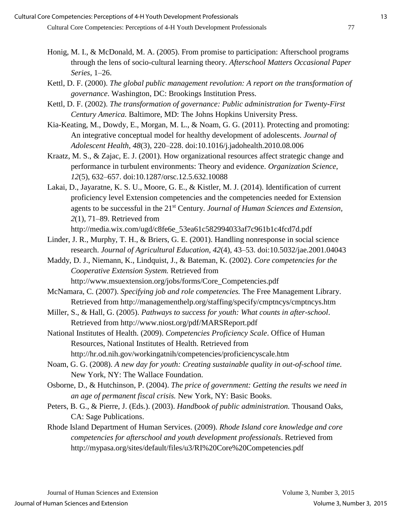- Honig, M. I., & McDonald, M. A. (2005). From promise to participation: Afterschool programs through the lens of socio-cultural learning theory. *Afterschool Matters Occasional Paper Series*, 1–26.
- Kettl, D. F. (2000). *The global public management revolution: A report on the transformation of governance*. Washington, DC: Brookings Institution Press.
- Kettl, D. F. (2002). *The transformation of governance: Public administration for Twenty-First Century America.* Baltimore, MD: The Johns Hopkins University Press.
- Kia-Keating, M., Dowdy, E., Morgan, M. L., & Noam, G. G. (2011). Protecting and promoting: An integrative conceptual model for healthy development of adolescents. *Journal of Adolescent Health, 48*(3), 220–228. doi[:10.1016/j.jadohealth.2010.08.006](http://dx.doi.org/10.1016/j.jadohealth.2010.08.006)
- Kraatz, M. S., & Zajac, E. J. (2001). How organizational resources affect strategic change and performance in turbulent environments: Theory and evidence. *Organization Science, 12*(5), 632–657. doi[:10.1287/orsc.12.5.632.10088](http://dx.doi.org/10.1287/orsc.12.5.632.10088)
- Lakai, D., Jayaratne, K. S. U., Moore, G. E., & Kistler, M. J. (2014). Identification of current proficiency level Extension competencies and the competencies needed for Extension agents to be successful in the 21st Century. *Journal of Human Sciences and Extension, 2*(1), 71–89. Retrieved from
	- http://media.wix.com/ugd/c8fe6e\_53ea61c582994033af7c961b1c4fcd7d.pdf
- Linder, J. R., Murphy, T. H., & Briers, G. E. (2001). Handling nonresponse in social science research. *Journal of Agricultural Education, 42*(4), 43–53. doi:10.5032/jae.2001.04043
- Maddy, D. J., Niemann, K., Lindquist, J., & Bateman, K. (2002). *Core competencies for the Cooperative Extension System.* Retrieved from http://www.msuextension.org/jobs/forms/Core\_Competencies.pdf
- McNamara, C. (2007). *Specifying job and role competencies.* The Free Management Library. Retrieved from http://managementhelp.org/staffing/specify/cmptncys/cmptncys.htm
- Miller, S., & Hall, G. (2005). *Pathways to success for youth: What counts in after-school*. Retrieved from http://www.niost.org/pdf/MARSReport.pdf
- National Institutes of Health. (2009). *Competencies Proficiency Scale*. Office of Human Resources, National Institutes of Health. Retrieved from http://hr.od.nih.gov/workingatnih/competencies/proficiencyscale.htm
- Noam, G. G. (2008). *A new day for youth: Creating sustainable quality in out-of-school time.* New York, NY: The Wallace Foundation.
- Osborne, D., & Hutchinson, P. (2004). *The price of government: Getting the results we need in an age of permanent fiscal crisis.* New York, NY: Basic Books.
- Peters, B. G., & Pierre, J. (Eds.). (2003). *Handbook of public administration.* Thousand Oaks, CA: Sage Publications.
- Rhode Island Department of Human Services. (2009). *Rhode Island core knowledge and core competencies for afterschool and youth development professionals*. Retrieved from http://mypasa.org/sites/default/files/u3/RI%20Core%20Competencies.pdf